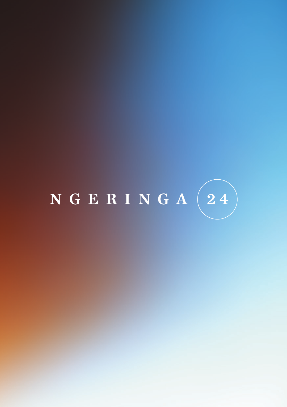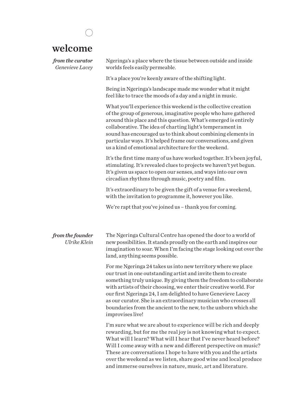| welcome                             |                                                                                                                                                                                                                                                                                                                                                                                                                                                              |
|-------------------------------------|--------------------------------------------------------------------------------------------------------------------------------------------------------------------------------------------------------------------------------------------------------------------------------------------------------------------------------------------------------------------------------------------------------------------------------------------------------------|
| from the curator<br>Genevieve Lacey | Ngeringa's a place where the tissue between outside and inside<br>worlds feels easily permeable.                                                                                                                                                                                                                                                                                                                                                             |
|                                     | It's a place you're keenly aware of the shifting light.                                                                                                                                                                                                                                                                                                                                                                                                      |
|                                     | Being in Ngeringa's landscape made me wonder what it might<br>feel like to trace the moods of a day and a night in music.                                                                                                                                                                                                                                                                                                                                    |
|                                     | What you'll experience this weekend is the collective creation<br>of the group of generous, imaginative people who have gathered<br>around this place and this question. What's emerged is entirely<br>collaborative. The idea of charting light's temperament in<br>sound has encouraged us to think about combining elements in<br>particular ways. It's helped frame our conversations, and given<br>us a kind of emotional architecture for the weekend. |
|                                     | It's the first time many of us have worked together. It's been joyful,<br>stimulating. It's revealed clues to projects we haven't yet begun.<br>It's given us space to open our senses, and ways into our own<br>circadian rhythms through music, poetry and film.                                                                                                                                                                                           |
|                                     | It's extraordinary to be given the gift of a venue for a weekend,<br>with the invitation to programme it, however you like.                                                                                                                                                                                                                                                                                                                                  |
|                                     | We're rapt that you've joined us – thank you for coming.                                                                                                                                                                                                                                                                                                                                                                                                     |

The Ngeringa Cultural Centre has opened the door to a world of new possibilities. It stands proudly on the earth and inspires our imagination to soar. When I'm facing the stage looking out over the land, anything seems possible. *from the founder Ulrike Klein*

> For me Ngeringa 24 takes us into new territory where we place our trust in one outstanding artist and invite them to create something truly unique. By giving them the freedom to collaborate with artists of their choosing, we enter their creative world. For our first Ngeringa 24, I am delighted to have Genevieve Lacey as our curator. She is an extraordinary musician who crosses all boundaries from the ancient to the new, to the unborn which she improvises live!

> I'm sure what we are about to experience will be rich and deeply rewarding, but for me the real joy is not knowing what to expect. What will I learn? What will I hear that I've never heard before? Will I come away with a new and different perspective on music? These are conversations I hope to have with you and the artists over the weekend as we listen, share good wine and local produce and immerse ourselves in nature, music, art and literature.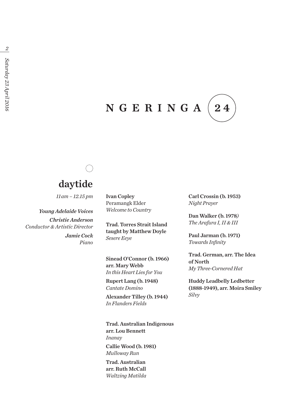### NGERINGA 24

# daytide

*11 am – 12.15 pm*

*Young Adelaide Voices Christie Anderson Conductor & Artistic Director Jamie Cock Piano* Ivan Copley Peramangk Elder *Welcome to Country*

Trad. Torres Strait Island taught by Matthew Doyle *Sesere Eeye*

Sinead O'Connor (b. 1966) arr. Mary Webb *In this Heart Lies for You*

Rupert Lang (b. 1948) *Cantate Domino*

Alexander Tilley (b. 1944) *In Flanders Fields*

Trad. Australian Indigenous arr. Lou Bennett *Inanay* Callie Wood (b. 1981) *Mulloway Run* Trad. Australian arr. Ruth McCall *Waltzing Matilda*

Carl Crossin (b. 1953) *Night Prayer*

Dan Walker (b. 1978*) The Arafura I, II & III*

Paul Jarman (b. 1971) *Towards Infinity*

Trad. German, arr. The Idea of North *My Three-Cornered Hat*

Huddy Leadbelly Ledbetter (1888-1949), arr. Moira Smiley *Silvy*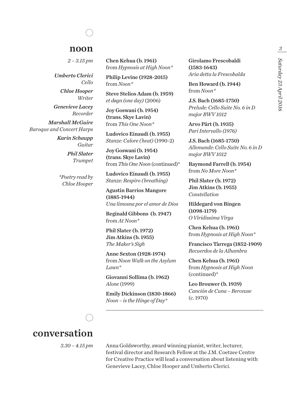### noon

*2 – 3.15 pm*

*Umberto Clerici Cello*

> *Chloe Hooper Writer*

*Genevieve Lacey Recorder*

*Marshall McGuire Baroque and Concert Harps*

> *Karin Schaupp Guitar Phil Slater Trumpet*

*\*Poetry read by Chloe Hooper*

Chen Kehua (b. 1961) from *Hypnosis at High Noon\**

Philip Levine (1928-2015) from *Noon\**

Steve Stelios Adam (b. 1959) *et døgn (one day)* (2006)

Joy Goswani (b. 1954) (trans. Skye Lavin) from *This One Noon\**

Ludovico Einaudi (b. 1955) *Stanze: Calore (heat)* (1990-2)

Joy Goswani (b. 1954) (trans. Skye Lavin) from *This One Noon* (continued)\*

Ludovico Einaudi (b. 1955) *Stanze: Respiro (breathing)*

Agustin Barrios Mangore (1885-1944) *Una limosna por el amor de Dios* 

Reginald Gibbons (b. 1947) from *At Noon\**

Phil Slater (b. 1972) Jim Atkins (b. 1955) *The Maker's Sigh* 

Anne Sexton (1928-1974) from *Noon Walk on the Asylum Lawn\**

Giovanni Sollima (b. 1962) *Alone* (1999)

Emily Dickinson (1830-1866) *Noon – is the Hinge of Day\**

Girolamo Frescobaldi (1583-1643) *Aria detta la Frescobalda* 

Ben Howard (b. 1944) from *Noon\**

J.S. Bach (1685-1750) *Prelude: Cello Suite No. 6 in D major BWV 1012* 

Arvo Pärt (b. 1935) *Pari Intervallo (1976)*

J.S. Bach (1685-1750) *Allemande: Cello Suite No. 6 in D major BWV 1012*

Raymond Farrell (b. 1954) from *No More Noon\**

Phil Slater (b. 1972) Jim Atkins (b. 1955) *Constellation* 

Hildegard von Bingen (1098-1179) *O Viridissima Virga*

Chen Kehua (b. 1961) from *Hypnosis at High Noon\**

Francisco Tàrrega (1852-1909) *Recuerdos de la Alhambra*

Chen Kehua (b. 1961) from *Hypnosis at High Noon*  (continued)\*

Leo Brouwer (b. 1939) *Canción de Cuna – Berceuse*  (c. 1970)



## conversation

*3.30 – 4.15 pm*

Anna Goldsworthy, award winning pianist, writer, lecturer, festival director and Research Fellow at the J.M. Coetzee Centre for Creative Practice will lead a conversation about listening with Genevieve Lacey, Chloe Hooper and Umberto Clerici.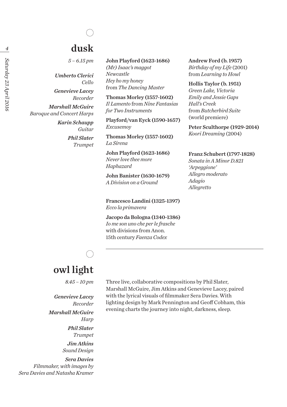# dusk

*5 – 6.15 pm*

*Umberto Clerici Cello*

*Genevieve Lacey Recorder*

*Marshall McGuire Baroque and Concert Harps*

> *Karin Schaupp Guitar Phil Slater Trumpet*

### John Playford (1623-1686)

*(Mr) Isaac's maggot Newcastle Hey ho my honey* from *The Dancing Master* 

Thomas Morley (1557-1602) *Il Lamento* from *Nine Fantasias for Two Instruments* 

Playford/van Eyck (1590-1657) *Excusemoy*

Thomas Morley (1557-1602) *La Sirena* 

John Playford (1623-1686) *Never love thee more Haphazard*

John Banister (1630-1679) *A Division on a Ground* 

Francesco Landini (1325-1397) *Ecco la primavera* 

Jacopo da Bologna (1340-1386) *Io me son uno che per le frasche* with divisions from Anon. 15th century *Faenza Codex*

Andrew Ford (b. 1957) *Birthday of my Life* (2001) from *Learning to Howl*

Hollis Taylor (b. 1951) *Green Lake, Victoria Emily and Jessie Gaps Hall's Creek* from *Butcherbird Suite*  (world premiere)

Peter Sculthorpe (1929-2014) *Koori Dreaming* (2004)

Franz Schubert (1797-1828) *Sonata in A Minor D.821 'Arpeggione' Allegro moderato Adagio Allegretto*

### owl light

*8.45 – 10 pm*

*Genevieve Lacey Recorder Marshall McGuire Harp Phil Slater Trumpet Jim Atkins Sound Design Sera Davies*

*Filmmaker, with images by Sera Davies and Natasha Kramer* Three live, collaborative compositions by Phil Slater, Marshall McGuire, Jim Atkins and Genevieve Lacey, paired with the lyrical visuals of filmmaker Sera Davies. With lighting design by Mark Pennington and Geoff Cobham, this evening charts the journey into night, darkness, sleep.

 *4*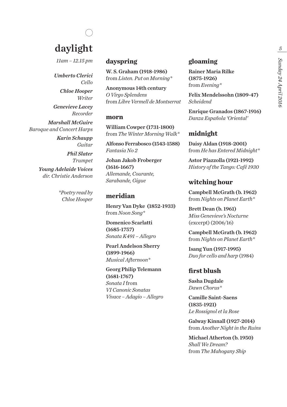# daylight

*11am – 12.15 pm*

*Umberto Clerici Cello*

*Chloe Hooper Writer Genevieve Lacey*

*Recorder Marshall McGuire Baroque and Concert Harps*

*Karin Schaupp Guitar Phil Slater Trumpet Young Adelaide Voices dir. Christie Anderson*

> *\*Poetry read by Chloe Hooper*

### **dayspring**

W. S. Graham (1918-1986) from *Listen. Put on Morning\**

Anonymous 14th century *O Virgo Splendens* from *Libre Vermell de Montserrat*

### **morn**

William Cowper (1731-1800) from *The Winter Morning Walk\**

Alfonso Ferrabosco (1543-1588) *Fantasia No 2* 

Johan Jakob Froberger (1616-1667) *Allemande, Courante, Sarabande, Gigue* 

### **meridian**

Henry Van Dyke (1852-1933) from *Noon Song\**

Domenico Scarlatti (1685-1757) *Sonata K491 – Allegro* 

Pearl Andelson Sherry (1899-1966) *Musical Afternoon\**

Georg Philip Telemann (1681-1767) *Sonata I* from *VI Canonic Sonatas Vivace – Adagio – Allegro*

### **gloaming**

Rainer Maria Rilke (1875-1926) from *Evening\**

Felix Mendelssohn (1809-47) *Scheidend*

Enrique Granados (1867-1916) *Danza Española 'Oriental'*

### **midnight**

Daisy Aldan (1918-2001) from *He has Entered Midnight\**

Astor Piazzolla (1921-1992) *History of the Tango: Café 1930* 

### **witching hour**

Campbell McGrath (b. 1962) from *Nights on Planet Earth\**

Brett Dean (b. 1961) *Miss Genevieve's Nocturne*  (excerpt) (2006/16)

Campbell McGrath (b. 1962) from *Nights on Planet Earth\**

Isang Yun (1917-1995) *Duo for cello and harp* (1984)

### **first blush**

Sasha Dugdale *Dawn Chorus\**

Camille Saint-Saens (1835-1921) *Le Rossignol et la Rose* 

Galway Kinnall (1927-2014) from *Another Night in the Ruins*

Michael Atherton (b. 1950) *Shall We Dream?*  from *The Mahogany Ship*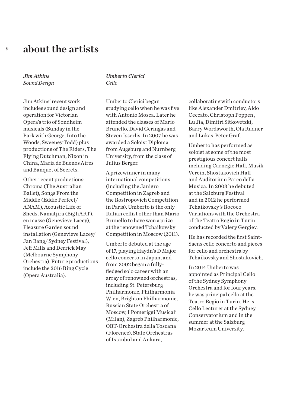*Jim Atkins Sound Design*

Jim Atkins' recent work includes sound design and operation for Victorian Opera's trio of Sondheim musicals (Sunday in the Park with George, Into the Woods, Sweeney Todd) plus productions of The Riders, The Flying Dutchman, Nixon in China, Maria de Buenos Aires and Banquet of Secrets.

Other recent productions: Chroma (The Australian Ballet), Songs From the Middle (Eddie Perfect/ ANAM), Acoustic Life of Sheds, Namatiira (Big hART). en masse (Genevieve Lacey), Pleasure Garden sound installation (Genevieve Lacey/ Jan Bang/ Sydney Festival), Jeff Mills and Derrick May (Melbourne Symphony Orchestra). Future productions include the 2016 Ring Cycle (Opera Australia).

#### *Umberto Clerici Cello*

Umberto Clerici began studying cello when he was five with Antonio Mosca. Later he attended the classes of Mario Brunello, David Geringas and Steven Isserlis. In 2007 he was awarded a Soloist Diploma from Augsburg and Nurnberg University, from the class of Julius Berger.

A prizewinner in many international competitions (including the Janigro Competition in Zagreb and the Rostropovich Competition in Paris), Umberto is the only Italian cellist other than Mario Brunello to have won a prize at the renowned Tchaikovsky Competition in Moscow (2011).

Umberto debuted at the age of 17, playing Haydn's D Major cello concerto in Japan, and from 2002 began a fullyfledged solo career with an array of renowned orchestras, including St. Petersburg Philharmonic, Philharmonia Wien, Brighton Philharmonic, Russian State Orchestra of Moscow, I Pomeriggi Musicali (Milan), Zagreb Philharmonic, ORT-Orchestra della Toscana (Florence), State Orchestras of Istanbul and Ankara,

collaborating with conductors like Alexander Dmitriev, Aldo Ceccato, Christoph Poppen , Lu Jia, Dimitri Sitkovetzki, Barry Wordsworth, Ola Rudner and Lukas-Peter Graf.

Umberto has performed as soloist at some of the most prestigious concert halls including Carnegie Hall, Musik Verein, Shostakovich Hall and Auditorium Parco della Musica. In 2003 he debuted at the Salzburg Festival and in 2012 he performed Tchaikovsky's Rococo Variations with the Orchestra of the Teatro Regio in Turin conducted by Valery Gergiev.

He has recorded the first Saint-Saens cello concerto and pieces for cello and orchestra by Tchaikovsky and Shostakovich.

In 2014 Umberto was appointed as Principal Cello of the Sydney Symphony Orchestra and for four years, he was principal cello at the Teatro Regio in Turin. He is Cello Lecturer at the Sydney Conservatorium and in the summer at the Salzburg Mozarteum University.

 *6*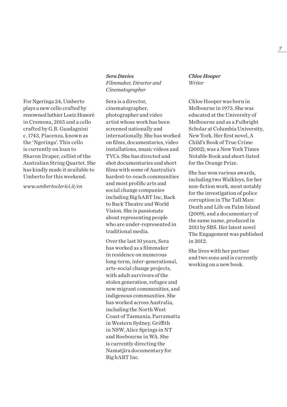For Ngeringa 24, Umberto plays a new cello crafted by renowned luthier Loeiz Honorè in Cremona, 2015 and a cello crafted by G.B. Guadagnini c. 1743, Piacenza, known as the 'Ngeringa'. This cello is currently on loan to Sharon Draper, cellist of the Australian String Quartet. She has kindly made it available to Umberto for this weekend.

*www.umbertoclerici.it/en*

### *Sera Davies Filmmaker, Director and Cinematographer*

Sera is a director, cinematographer, photographer and video artist whose work has been screened nationally and internationally. She has worked on films, documentaries, video installations, music videos and TVCs. She has directed and shot documentaries and short films with some of Australia's hardest-to-reach communities and most prolific arts and social change companies including Big hART Inc, Back to Back Theatre and World Vision. She is passionate about representing people who are under-represented in traditional media.

Over the last 10 years, Sera has worked as a filmmaker in residence on numerous long-term, inter-generational, arts-social change projects, with adult survivors of the stolen generation, refugee and new migrant communities, and indigenous communities. She has worked across Australia, including the North West Coast of Tasmania, Parramatta in Western Sydney, Griffith in NSW, Alice Springs in NT and Roebourne in WA. She is currently directing the Namatjira documentary for Big hART Inc.

*Chloe Hooper Writer*

Chloe Hooper was born in Melbourne in 1973. She was educated at the University of Melbourne and as a Fulbright Scholar at Columbia University, New York. Her first novel, A Child's Book of True Crime (2002), was a New York Times Notable Book and short-listed for the Orange Prize.

She has won various awards, including two Walkleys, for her non-fiction work, most notably for the investigation of police corruption in The Tall Man: Death and Life on Palm Island (2009), and a documentary of the same name, produced in 2011 by SBS. Her latest novel The Engagement was published in 2012.

She lives with her partner and two sons and is currently working on a new book.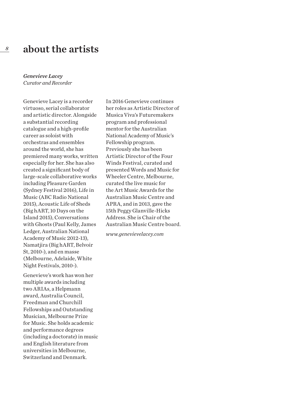#### *Genevieve Lacey Curator and Recorder*

Genevieve Lacey is a recorder virtuoso, serial collaborator and artistic director. Alongside a substantial recording catalogue and a high-profile career as soloist with orchestras and ensembles around the world, she has premiered many works, written especially for her. She has also created a significant body of large-scale collaborative works including Pleasure Garden (Sydney Festival 2016), Life in Music (ABC Radio National 2015), Acoustic Life of Sheds (Big hART, 10 Days on the Island 2015), Conversations with Ghosts (Paul Kelly, James Ledger, Australian National Academy of Music 2012-13), Namatjira (Big hART, Belvoir St, 2010-), and en masse (Melbourne, Adelaide, White Night Festivals, 2010-).

Genevieve's work has won her multiple awards including two ARIAs, a Helpmann award, Australia Council, Freedman and Churchill Fellowships and Outstanding Musician, Melbourne Prize for Music. She holds academic and performance degrees (including a doctorate) in music and English literature from universities in Melbourne, Switzerland and Denmark.

In 2016 Genevieve continues her roles as Artistic Director of Musica Viva's Futuremakers program and professional mentor for the Australian National Academy of Music's Fellowship program. Previously she has been Artistic Director of the Four Winds Festival, curated and presented Words and Music for Wheeler Centre, Melbourne, curated the live music for the Art Music Awards for the Australian Music Centre and APRA, and in 2013, gave the 15th Peggy Glanville-Hicks Address. She is Chair of the Australian Music Centre board.

*www.genevievelacey.com*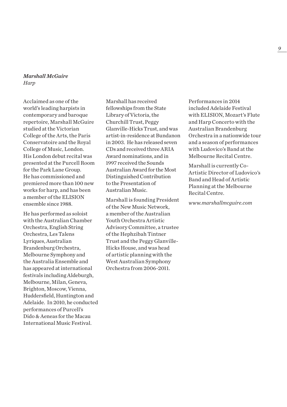#### *Marshall McGuire Harp*

Acclaimed as one of the world's leading harpists in contemporary and baroque repertoire, Marshall McGuire studied at the Victorian College of the Arts, the Paris Conservatoire and the Royal College of Music, London. His London debut recital was presented at the Purcell Room for the Park Lane Group. He has commissioned and premiered more than 100 new works for harp, and has been a member of the ELISION ensemble since 1988.

He has performed as soloist with the Australian Chamber Orchestra, English String Orchestra, Les Talens Lyriques, Australian Brandenburg Orchestra, Melbourne Symphony and the Australia Ensemble and has appeared at international festivals including Aldeburgh, Melbourne, Milan, Geneva, Brighton, Moscow, Vienna, Huddersfield, Huntington and Adelaide. In 2010, he conducted performances of Purcell's Dido & Aeneas for the Macau International Music Festival.

Marshall has received fellowships from the State Library of Victoria, the Churchill Trust, Peggy Glanville-Hicks Trust, and was artist-in-residence at Bundanon in 2003. He has released seven CDs and received three ARIA Award nominations, and in 1997 received the Sounds Australian Award for the Most Distinguished Contribution to the Presentation of Australian Music.

Marshall is founding President of the New Music Network, a member of the Australian Youth Orchestra Artistic Advisory Committee, a trustee of the Hephzibah Tintner Trust and the Peggy Glanville-Hicks House, and was head of artistic planning with the West Australian Symphony Orchestra from 2006-2011.

Performances in 2014 included Adelaide Festival with ELISION, Mozart's Flute and Harp Concerto with the Australian Brandenburg Orchestra in a nationwide tour and a season of performances with Ludovico's Band at the Melbourne Recital Centre.

Marshall is currently Co-Artistic Director of Ludovico's Band and Head of Artistic Planning at the Melbourne Recital Centre.

*www.marshallmcguire.com*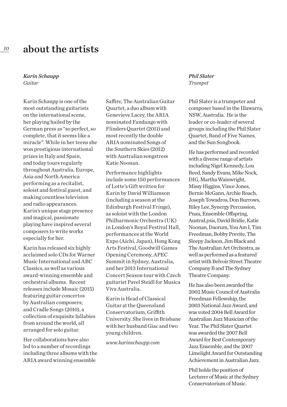#### *Karin Schaupp Guitar*

Karin Schaupp is one of the most outstanding guitarists on the international scene, her playing hailed by the German press as "so perfect, so complete, that it seems like a miracle". While in her teens she won prestigious international prizes in Italy and Spain, and today tours regularly throughout Australia, Europe, Asia and North America performing as a recitalist, soloist and festival guest, and making countless television and radio appearances. Karin's unique stage presence and magical, passionate playing have inspired several composers to write works especially for her.

Karin has released six highly acclaimed solo CDs for Warner Music International and ABC Classics, as well as various award-winning ensemble and orchestral albums. Recent releases include Mosaic (2015) featuring guitar concertos by Australian composers; and Cradle Songs (2010), a collection of exquisite lullabies from around the world, all arranged for solo guitar.

Her collaborations have also led to a number of recordings including three albums with the ARIA award winning ensemble

Saffire, The Australian Guitar Quartet, a duo album with Genevieve Lacey, the ARIA nominated Fandango with Flinders Quartet (2011) and most recently the double ARIA nominated Songs of the Southern Skies (2012) with Australian songstress Katie Noonan.

Performance highlights include some 150 performances of Lotte's Gift written for Karin by David Williamson (including a season at the Edinburgh Festival Fringe), as soloist with the London Philharmonic Orchestra (UK) in London's Royal Festival Hall, performances at the World Expo (Aichi, Japan), Hong Kong Arts Festival, Goodwill Games Opening Ceremony, APEC Summit in Sydney, Australia, and her 2013 International Concert Season tour with Czech guitarist Pavel Steidl for Musica Viva Australia.

Karin is Head of Classical Guitar at the Queensland Conservatorium, Griffith University. She lives in Brisbane with her husband Giac and two young children.

*www.karinschaupp.com*

### *Phil Slater Trumpet*

Phil Slater is a trumpeter and composer based in the Illawarra, NSW, Australia. He is the leader or co-leader of several groups including the Phil Slater Quartet, Band of Five Names, and the Sun Songbook.

He has performed and recorded with a diverse range of artists including Nigel Kennedy, Lou Reed, Sandy Evans, Mike Nock, DIG, Martha Wainwright, Missy Higgins, Vince Jones, Bernie McGann, Archie Roach, Joseph Towadros, Don Burrows, Riley Lee, Synergy Percussion, Pnau, Ensemble Offspring, AustraLysis, David Bridie, Katie Noonan, Daorum, You Am I, Tim Freedman, Bobby Previte, The Sleepy Jackson, Jim Black and The Australian Art Orchestra, as well as performed as a featured artist with Belvoir Street Theatre Company B and The Sydney Theatre Company.

He has also been awarded the 2002 Music Council of Australia Freedman Fellowship, the 2003 National Jazz Award, and was voted 2004 Bell Award for Australian Jazz Musician of the Year. The Phil Slater Quartet was awarded the 2007 Bell Award for Best Contemporary Jazz Ensemble, and the 2007 Limelight Award for Outstanding Achievement in Australian Jazz.

Phil holds the position of Lecturer of Music at the Sydney Conservatorium of Music.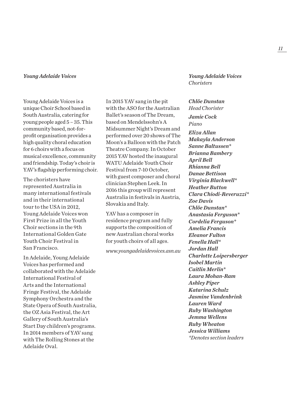Young Adelaide Voices is a unique Choir School based in South Australia, catering for young people aged 5 – 35. This community based, not-forprofit organisation provides a high quality choral education for 6 choirs with a focus on musical excellence, community and friendship. Today's choir is YAV's flagship performing choir.

The choristers have represented Australia in many international festivals and in their international tour to the USA in 2012, Young Adelaide Voices won First Prize in all the Youth Choir sections in the 9th International Golden Gate Youth Choir Festival in San Francisco.

In Adelaide, Young Adelaide Voices has performed and collaborated with the Adelaide International Festival of Arts and the International Fringe Festival, the Adelaide Symphony Orchestra and the State Opera of South Australia, the OZ Asia Festival, the Art Gallery of South Australia's Start Day children's programs. In 2014 members of YAV sang with The Rolling Stones at the Adelaide Oval.

In 2015 YAV sang in the pit with the ASO for the Australian Ballet's season of The Dream, based on Mendelssohn's A Midsummer Night's Dream and performed over 20 shows of The Moon's a Balloon with the Patch Theatre Company. In October 2015 YAV hosted the inaugural WATU Adelaide Youth Choir Festival from 7-10 October, with guest composer and choral clinician Stephen Leek. In 2016 this group will represent Australia in festivals in Austria, Slovakia and Italy.

YAV has a composer in residence program and fully supports the composition of new Australian choral works for youth choirs of all ages.

*www.youngadelaidevoices.asn.au* 

*Young Adelaide Voices Young Adelaide Voices Choristers*

> *Chlöe Dunstan Head Chorister Jamie Cock Piano Eliza Allan Makayla Anderson Sanne Baltussen\* Brianna Bambery April Bell Rhianna Bell Danae Bettison Virginia Blackwell\* Heather Button Clara Chiodi-Reveruzzi\* Zoe Davis Chlöe Dunstan\* Anastasia Ferguson\* Cordelia Ferguson\* Amelia Francis Eleanor Fulton Fenella Hall\* Jordan Hall Charlotte Loipersberger Isobel Martin Caitlin Merlin\* Laura Mohan-Ram Ashley Piper Katarina Schulz Jasmine Vandenbrink Lauren Ward Ruby Washington Jemma Wellens Ruby Wheaton Jessica Williams \*Denotes section leaders*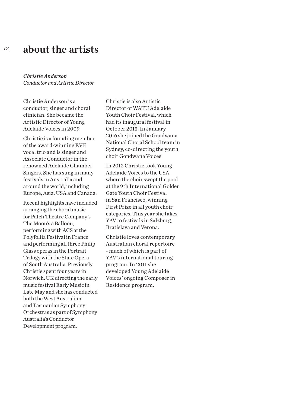### *Christie Anderson Conductor and Artistic Director*

Christie Anderson is a conductor, singer and choral clinician. She became the Artistic Director of Young Adelaide Voices in 2009.

Christie is a founding member of the award-winning EVE vocal trio and is singer and Associate Conductor in the renowned Adelaide Chamber Singers. She has sung in many festivals in Australia and around the world, including Europe, Asia, USA and Canada.

Recent highlights have included arranging the choral music for Patch Theatre Company's The Moon's a Balloon, performing with ACS at the Polyfollia Festival in France and performing all three Philip Glass operas in the Portrait Trilogy with the State Opera of South Australia. Previously Christie spent four years in Norwich, UK directing the early music festival Early Music in Late May and she has conducted both the West Australian and Tasmanian Symphony Orchestras as part of Symphony Australia's Conductor Development program.

Christie is also Artistic Director of WATU Adelaide Youth Choir Festival, which had its inaugural festival in October 2015. In January 2016 she joined the Gondwana National Choral School team in Sydney, co-directing the youth choir Gondwana Voices.

In 2012 Christie took Young Adelaide Voices to the USA, where the choir swept the pool at the 9th International Golden Gate Youth Choir Festival in San Francisco, winning First Prize in all youth choir categories. This year she takes YAV to festivals in Salzburg, Bratislava and Verona.

Christie loves contemporary Australian choral repertoire - much of which is part of YAV's international touring program. In 2011 she developed Young Adelaide Voices' ongoing Composer in Residence program.

*12*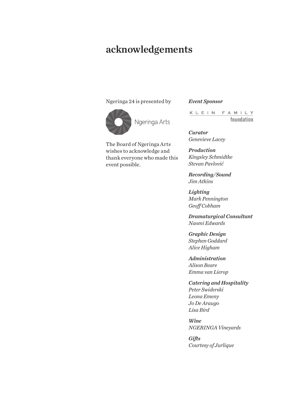## acknowledgements

### Ngeringa 24 is presented by



Ngeringa Arts

The Board of Ngeringa Arts wishes to acknowledge and thank everyone who made this event possible.

*Event Sponsor*

KLEIN FAMILY foundation

*Curator Genevieve Lacey*

*Production Kingsley Schmidtke Stevan Pavlović*

*Recording/Sound Jim Atkins*

*Lighting Mark Pennington Geoff Cobham*

*Dramaturgical Consultant Naomi Edwards*

*Graphic Design Stephen Goddard Alice Higham*

*Administration Alison Beare Emma van Lierop*

*Catering and Hospitality Peter Swiderski Leona Emeny Jo De Araugo Lisa Bird*

*Wine NGERINGA Vineyards*

*Gifts Courtesy of Jurlique*